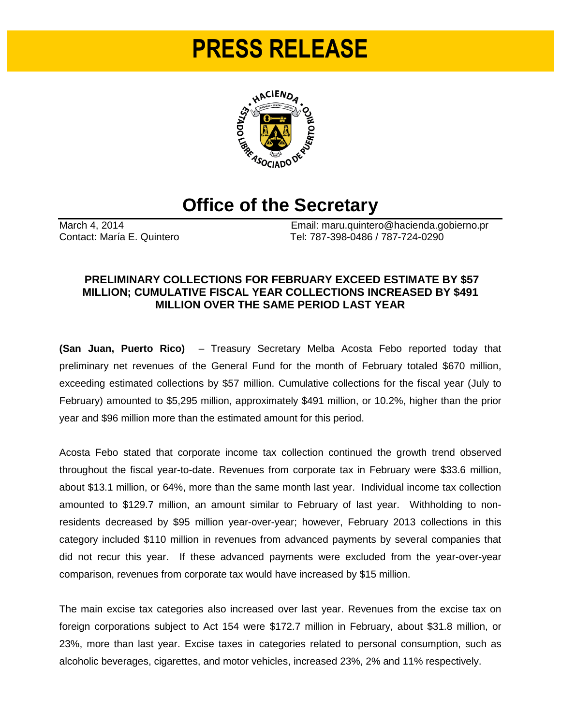# **PRESS RELEASE**



## **Office of the Secretary**

March 4, 2014<br>
Contact: María E. Quintero<br>
Contact: María E. Quintero<br>
Contact: María E. Quintero Tel: 787-398-0486 / 787-724-0290

### **PRELIMINARY COLLECTIONS FOR FEBRUARY EXCEED ESTIMATE BY \$57 MILLION; CUMULATIVE FISCAL YEAR COLLECTIONS INCREASED BY \$491 MILLION OVER THE SAME PERIOD LAST YEAR**

**(San Juan, Puerto Rico)** – Treasury Secretary Melba Acosta Febo reported today that preliminary net revenues of the General Fund for the month of February totaled \$670 million, exceeding estimated collections by \$57 million. Cumulative collections for the fiscal year (July to February) amounted to \$5,295 million, approximately \$491 million, or 10.2%, higher than the prior year and \$96 million more than the estimated amount for this period.

Acosta Febo stated that corporate income tax collection continued the growth trend observed throughout the fiscal year-to-date. Revenues from corporate tax in February were \$33.6 million, about \$13.1 million, or 64%, more than the same month last year. Individual income tax collection amounted to \$129.7 million, an amount similar to February of last year. Withholding to nonresidents decreased by \$95 million year-over-year; however, February 2013 collections in this category included \$110 million in revenues from advanced payments by several companies that did not recur this year. If these advanced payments were excluded from the year-over-year comparison, revenues from corporate tax would have increased by \$15 million.

The main excise tax categories also increased over last year. Revenues from the excise tax on foreign corporations subject to Act 154 were \$172.7 million in February, about \$31.8 million, or 23%, more than last year. Excise taxes in categories related to personal consumption, such as alcoholic beverages, cigarettes, and motor vehicles, increased 23%, 2% and 11% respectively.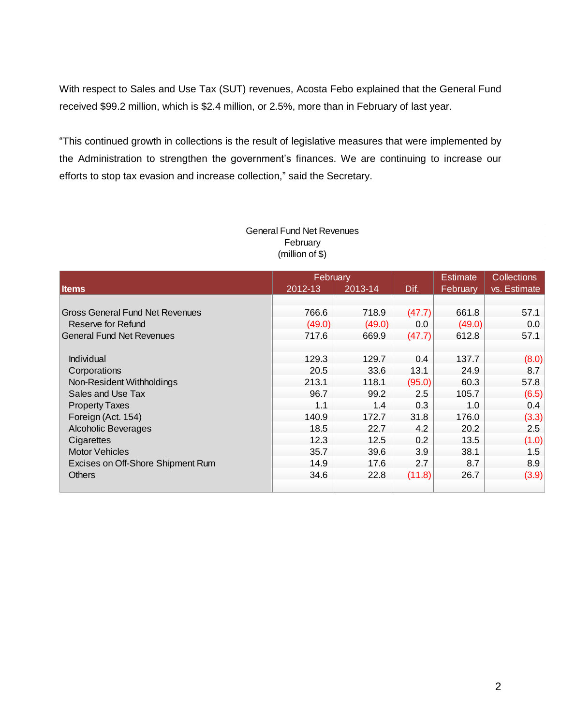With respect to Sales and Use Tax (SUT) revenues, Acosta Febo explained that the General Fund received \$99.2 million, which is \$2.4 million, or 2.5%, more than in February of last year.

"This continued growth in collections is the result of legislative measures that were implemented by the Administration to strengthen the government's finances. We are continuing to increase our efforts to stop tax evasion and increase collection," said the Secretary.

|                                        |         | February |        | <b>Estimate</b> | <b>Collections</b> |
|----------------------------------------|---------|----------|--------|-----------------|--------------------|
| <b>Items</b>                           | 2012-13 | 2013-14  | Dif.   | February        | vs. Estimate       |
|                                        |         |          |        |                 |                    |
| <b>Gross General Fund Net Revenues</b> | 766.6   | 718.9    | (47.7) | 661.8           | 57.1               |
| Reserve for Refund                     | (49.0)  | (49.0)   | 0.0    | (49.0)          | 0.0                |
| <b>General Fund Net Revenues</b>       | 717.6   | 669.9    | (47.7) | 612.8           | 57.1               |
|                                        |         |          |        |                 |                    |
| Individual                             | 129.3   | 129.7    | 0.4    | 137.7           | (8.0)              |
| Corporations                           | 20.5    | 33.6     | 13.1   | 24.9            | 8.7                |
| Non-Resident Withholdings              | 213.1   | 118.1    | (95.0) | 60.3            | 57.8               |
| Sales and Use Tax                      | 96.7    | 99.2     | 2.5    | 105.7           | (6.5)              |
| <b>Property Taxes</b>                  | 1.1     | 1.4      | 0.3    | 1.0             | 0.4                |
| Foreign (Act. 154)                     | 140.9   | 172.7    | 31.8   | 176.0           | (3.3)              |
| <b>Alcoholic Beverages</b>             | 18.5    | 22.7     | 4.2    | 20.2            | 2.5                |
| Cigarettes                             | 12.3    | 12.5     | 0.2    | 13.5            | (1.0)              |
| <b>Motor Vehicles</b>                  | 35.7    | 39.6     | 3.9    | 38.1            | 1.5                |
| Excises on Off-Shore Shipment Rum      | 14.9    | 17.6     | 2.7    | 8.7             | 8.9                |
| <b>Others</b>                          | 34.6    | 22.8     | (11.8) | 26.7            | (3.9)              |
|                                        |         |          |        |                 |                    |

#### General Fund Net Revenues February (million of \$)